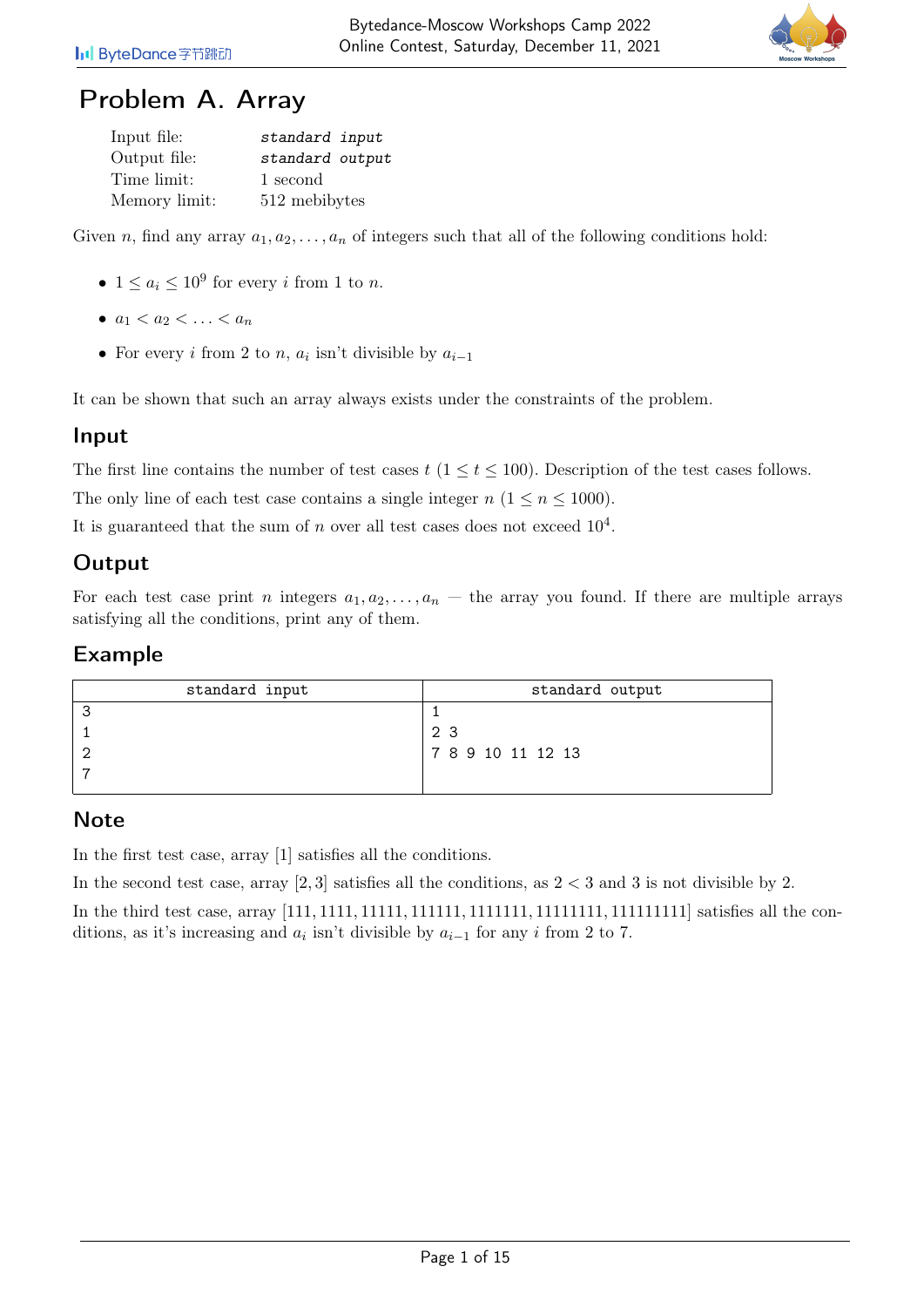

## Problem A. Array

| Input file:   | standard input  |
|---------------|-----------------|
| Output file:  | standard output |
| Time limit:   | 1 second        |
| Memory limit: | 512 mebibytes   |

Given n, find any array  $a_1, a_2, \ldots, a_n$  of integers such that all of the following conditions hold:

- $1 \leq a_i \leq 10^9$  for every *i* from 1 to *n*.
- $a_1 < a_2 < \ldots < a_n$
- For every *i* from 2 to *n*,  $a_i$  isn't divisible by  $a_{i-1}$

It can be shown that such an array always exists under the constraints of the problem.

#### Input

The first line contains the number of test cases  $t$  ( $1 \le t \le 100$ ). Description of the test cases follows.

The only line of each test case contains a single integer  $n (1 \le n \le 1000)$ .

It is guaranteed that the sum of n over all test cases does not exceed  $10^4$ .

### Output

For each test case print n integers  $a_1, a_2, \ldots, a_n$  – the array you found. If there are multiple arrays satisfying all the conditions, print any of them.

#### Example

| standard input | standard output   |
|----------------|-------------------|
|                |                   |
|                | 23                |
|                | 7 8 9 10 11 12 13 |
|                |                   |
|                |                   |

#### Note

In the first test case, array [1] satisfies all the conditions.

In the second test case, array  $[2,3]$  satisfies all the conditions, as  $2 < 3$  and 3 is not divisible by 2.

In the third test case, array [111, 1111, 11111, 111111, 1111111, 11111111, 111111111] satisfies all the conditions, as it's increasing and  $a_i$  isn't divisible by  $a_{i-1}$  for any i from 2 to 7.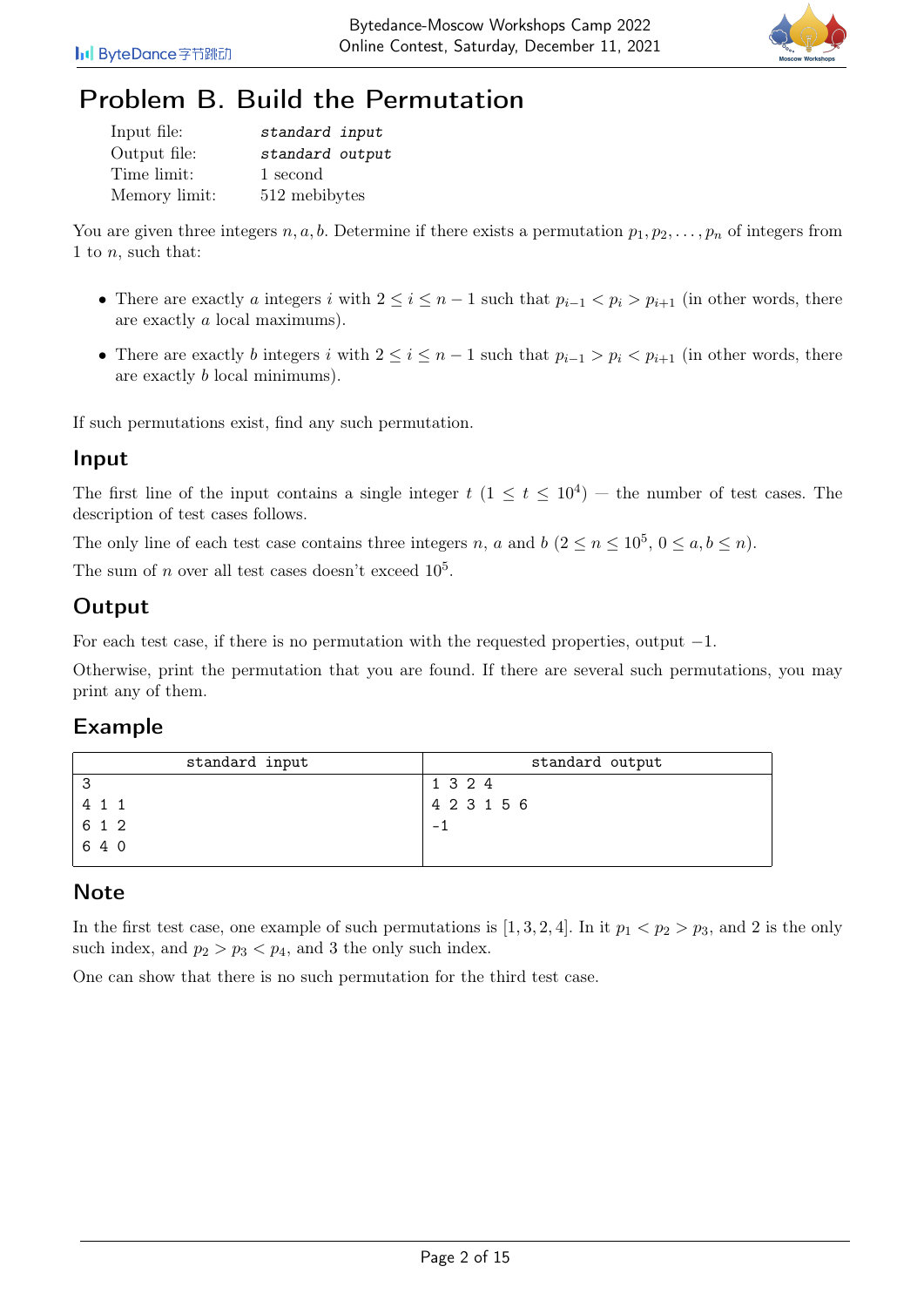

# Problem B. Build the Permutation

| Input file:   | standard input  |
|---------------|-----------------|
| Output file:  | standard output |
| Time limit:   | 1 second        |
| Memory limit: | 512 mebibytes   |

You are given three integers n, a, b. Determine if there exists a permutation  $p_1, p_2, \ldots, p_n$  of integers from 1 to  $n$ , such that:

- There are exactly a integers i with  $2 \le i \le n-1$  such that  $p_{i-1} < p_i > p_{i+1}$  (in other words, there are exactly a local maximums).
- There are exactly b integers i with  $2 \le i \le n-1$  such that  $p_{i-1} > p_i < p_{i+1}$  (in other words, there are exactly b local minimums).

If such permutations exist, find any such permutation.

### Input

The first line of the input contains a single integer  $t$   $(1 \le t \le 10^4)$  – the number of test cases. The description of test cases follows.

The only line of each test case contains three integers n, a and b  $(2 \le n \le 10^5, 0 \le a, b \le n)$ .

The sum of n over all test cases doesn't exceed  $10^5$ .

## **Output**

For each test case, if there is no permutation with the requested properties, output  $-1$ .

Otherwise, print the permutation that you are found. If there are several such permutations, you may print any of them.

### Example

| 4 2 3 1 5 6 |
|-------------|
|             |
|             |
|             |

## **Note**

In the first test case, one example of such permutations is [1, 3, 2, 4]. In it  $p_1 < p_2 > p_3$ , and 2 is the only such index, and  $p_2 > p_3 < p_4$ , and 3 the only such index.

One can show that there is no such permutation for the third test case.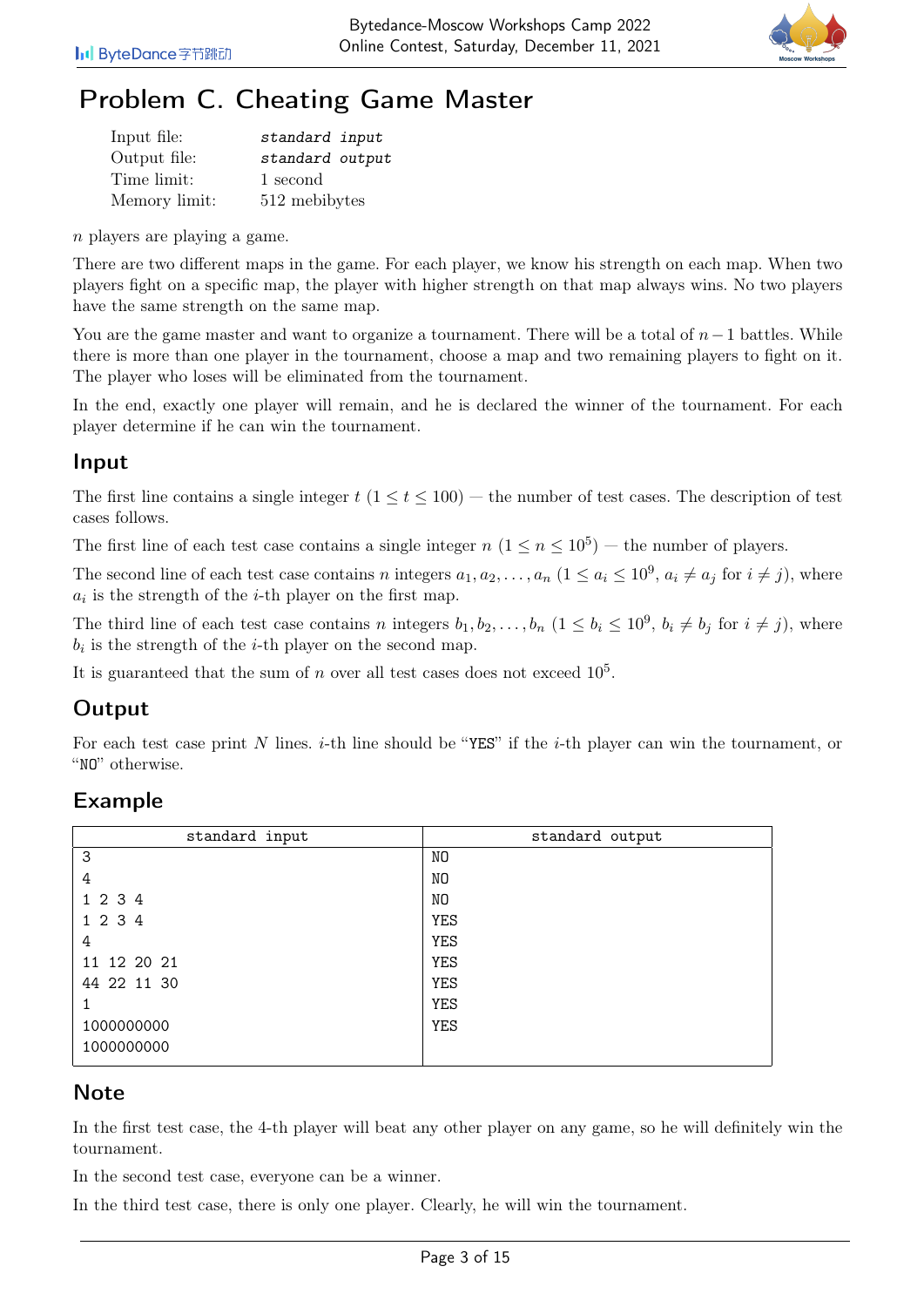

# Problem C. Cheating Game Master

| Input file:   | standard input  |
|---------------|-----------------|
| Output file:  | standard output |
| Time limit:   | 1 second        |
| Memory limit: | 512 mebibytes   |

n players are playing a game.

There are two different maps in the game. For each player, we know his strength on each map. When two players fight on a specific map, the player with higher strength on that map always wins. No two players have the same strength on the same map.

You are the game master and want to organize a tournament. There will be a total of  $n-1$  battles. While there is more than one player in the tournament, choose a map and two remaining players to fight on it. The player who loses will be eliminated from the tournament.

In the end, exactly one player will remain, and he is declared the winner of the tournament. For each player determine if he can win the tournament.

### Input

The first line contains a single integer  $t$  ( $1 \le t \le 100$ ) — the number of test cases. The description of test cases follows.

The first line of each test case contains a single integer  $n (1 \le n \le 10^5)$  – the number of players.

The second line of each test case contains n integers  $a_1, a_2, \ldots, a_n$   $(1 \le a_i \le 10^9, a_i \ne a_j \text{ for } i \ne j)$ , where  $a_i$  is the strength of the *i*-th player on the first map.

The third line of each test case contains n integers  $b_1, b_2, \ldots, b_n$   $(1 \le b_i \le 10^9, b_i \ne b_j$  for  $i \ne j$ , where  $b_i$  is the strength of the *i*-th player on the second map.

It is guaranteed that the sum of n over all test cases does not exceed  $10<sup>5</sup>$ .

## **Output**

For each test case print N lines. *i*-th line should be "YES" if the *i*-th player can win the tournament, or "NO" otherwise.

## Example

| standard input | standard output |
|----------------|-----------------|
| 3              | NO.             |
| 4              | NO              |
| 1 2 3 4        | NO              |
| 1 2 3 4        | <b>YES</b>      |
| 4              | <b>YES</b>      |
| 11 12 20 21    | <b>YES</b>      |
| 44 22 11 30    | <b>YES</b>      |
|                | <b>YES</b>      |
| 1000000000     | <b>YES</b>      |
| 1000000000     |                 |
|                |                 |

### **Note**

In the first test case, the 4-th player will beat any other player on any game, so he will definitely win the tournament.

In the second test case, everyone can be a winner.

In the third test case, there is only one player. Clearly, he will win the tournament.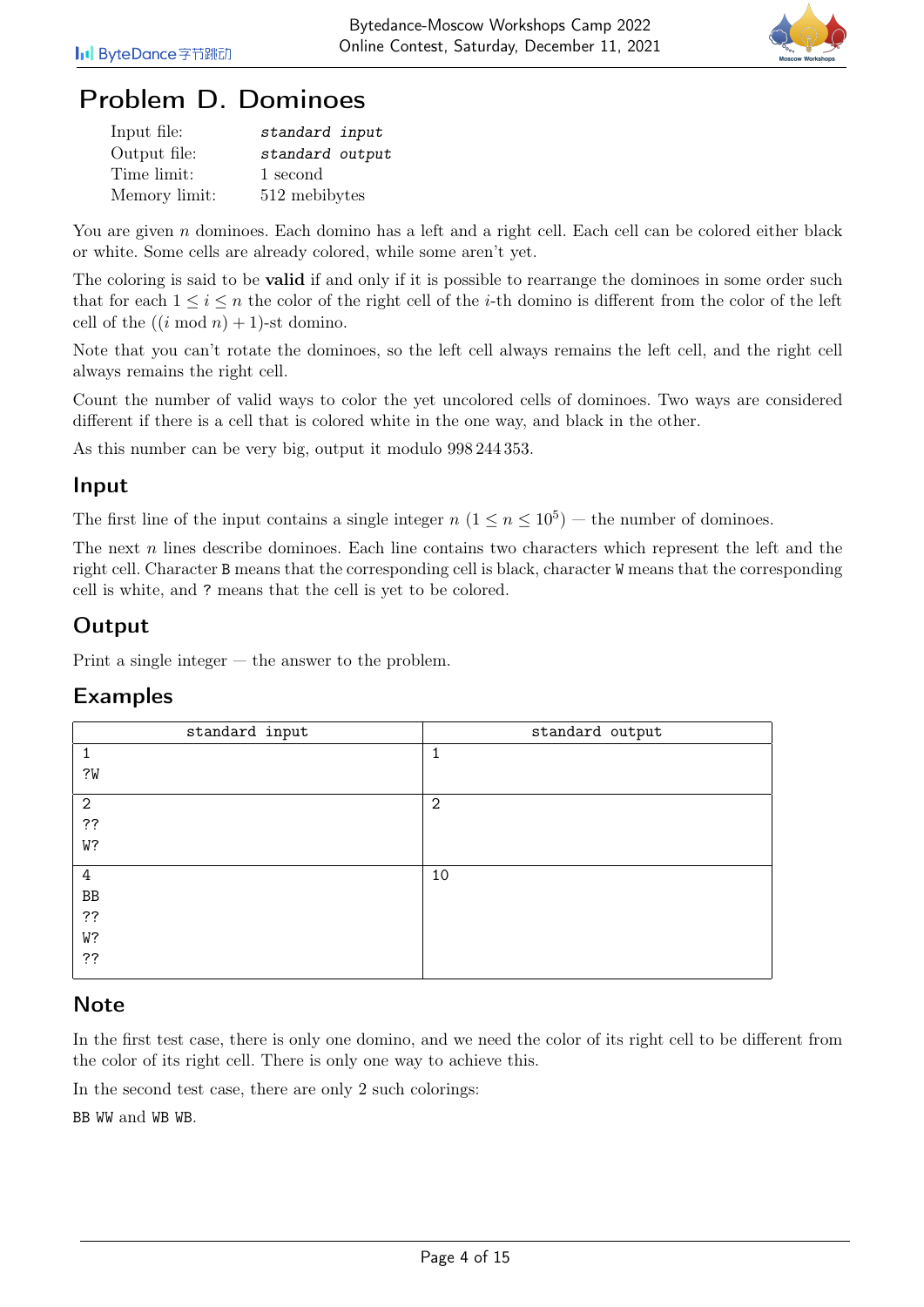

## Problem D. Dominoes

| Input file:   | standard input  |
|---------------|-----------------|
| Output file:  | standard output |
| Time limit:   | 1 second        |
| Memory limit: | 512 mebibytes   |

You are given n dominoes. Each domino has a left and a right cell. Each cell can be colored either black or white. Some cells are already colored, while some aren't yet.

The coloring is said to be **valid** if and only if it is possible to rearrange the dominoes in some order such that for each  $1 \leq i \leq n$  the color of the right cell of the *i*-th domino is different from the color of the left cell of the  $((i \mod n) + 1)$ -st domino.

Note that you can't rotate the dominoes, so the left cell always remains the left cell, and the right cell always remains the right cell.

Count the number of valid ways to color the yet uncolored cells of dominoes. Two ways are considered different if there is a cell that is colored white in the one way, and black in the other.

As this number can be very big, output it modulo 998 244 353.

#### Input

The first line of the input contains a single integer  $n (1 \le n \le 10^5)$  – the number of dominoes.

The next n lines describe dominoes. Each line contains two characters which represent the left and the right cell. Character B means that the corresponding cell is black, character W means that the corresponding cell is white, and ? means that the cell is yet to be colored.

## Output

Print a single integer — the answer to the problem.

### Examples

| standard input | standard output |
|----------------|-----------------|
|                | 1               |
| ?W             |                 |
| $\overline{2}$ | $\mathbf{2}$    |
| ??             |                 |
| W?             |                 |
| 4              | 10              |
| ${\rm BB}$     |                 |
| ??             |                 |
| W?             |                 |
| ??             |                 |

## **Note**

In the first test case, there is only one domino, and we need the color of its right cell to be different from the color of its right cell. There is only one way to achieve this.

In the second test case, there are only 2 such colorings:

BB WW and WB WB.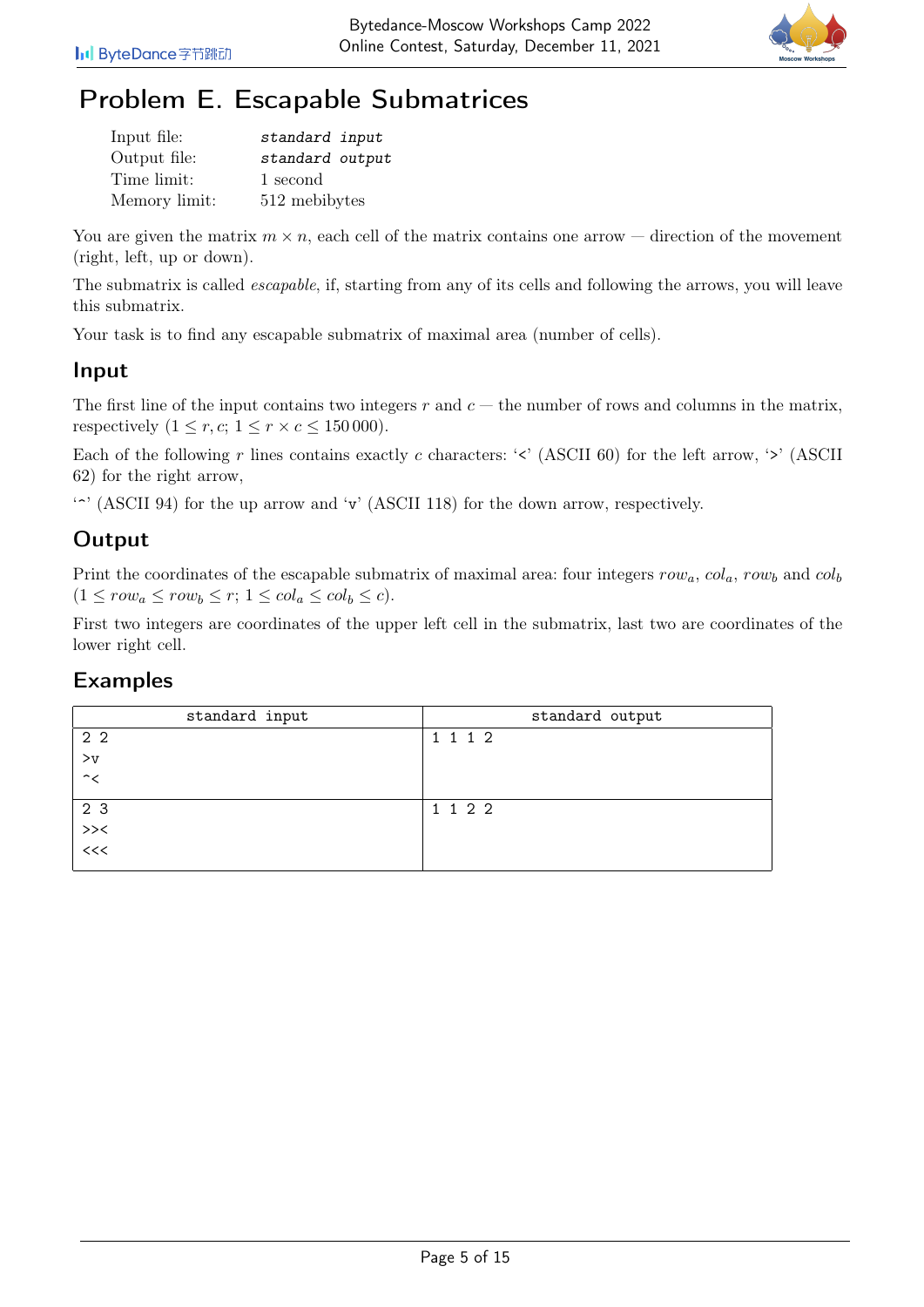

# Problem E. Escapable Submatrices

| Input file:   | standard input  |
|---------------|-----------------|
| Output file:  | standard output |
| Time limit:   | 1 second        |
| Memory limit: | 512 mebibytes   |

You are given the matrix  $m \times n$ , each cell of the matrix contains one arrow — direction of the movement (right, left, up or down).

The submatrix is called escapable, if, starting from any of its cells and following the arrows, you will leave this submatrix.

Your task is to find any escapable submatrix of maximal area (number of cells).

## Input

The first line of the input contains two integers r and  $c$  — the number of rows and columns in the matrix, respectively  $(1 \leq r, c; 1 \leq r \times c \leq 150000)$ .

Each of the following r lines contains exactly c characters: ' $\leq$ ' (ASCII 60) for the left arrow, ' $\geq$ ' (ASCII 62) for the right arrow,

'.' (ASCII 94) for the up arrow and 'v' (ASCII 118) for the down arrow, respectively.

## **Output**

Print the coordinates of the escapable submatrix of maximal area: four integers  $row_a$ ,  $col_a$ ,  $row_b$  and  $col_b$  $(1 \leq row_a \leq row_b \leq r; 1 \leq col_a \leq col_b \leq c).$ 

First two integers are coordinates of the upper left cell in the submatrix, last two are coordinates of the lower right cell.

| standard input           | standard output |
|--------------------------|-----------------|
| 2 <sub>2</sub>           | 1 1 1 2         |
| $>_{\rm V}$              |                 |
| $\hat{\phantom{a}}$      |                 |
|                          | 1 1 2 2         |
| $23$<br>>><<br><<<<<<<<< |                 |
|                          |                 |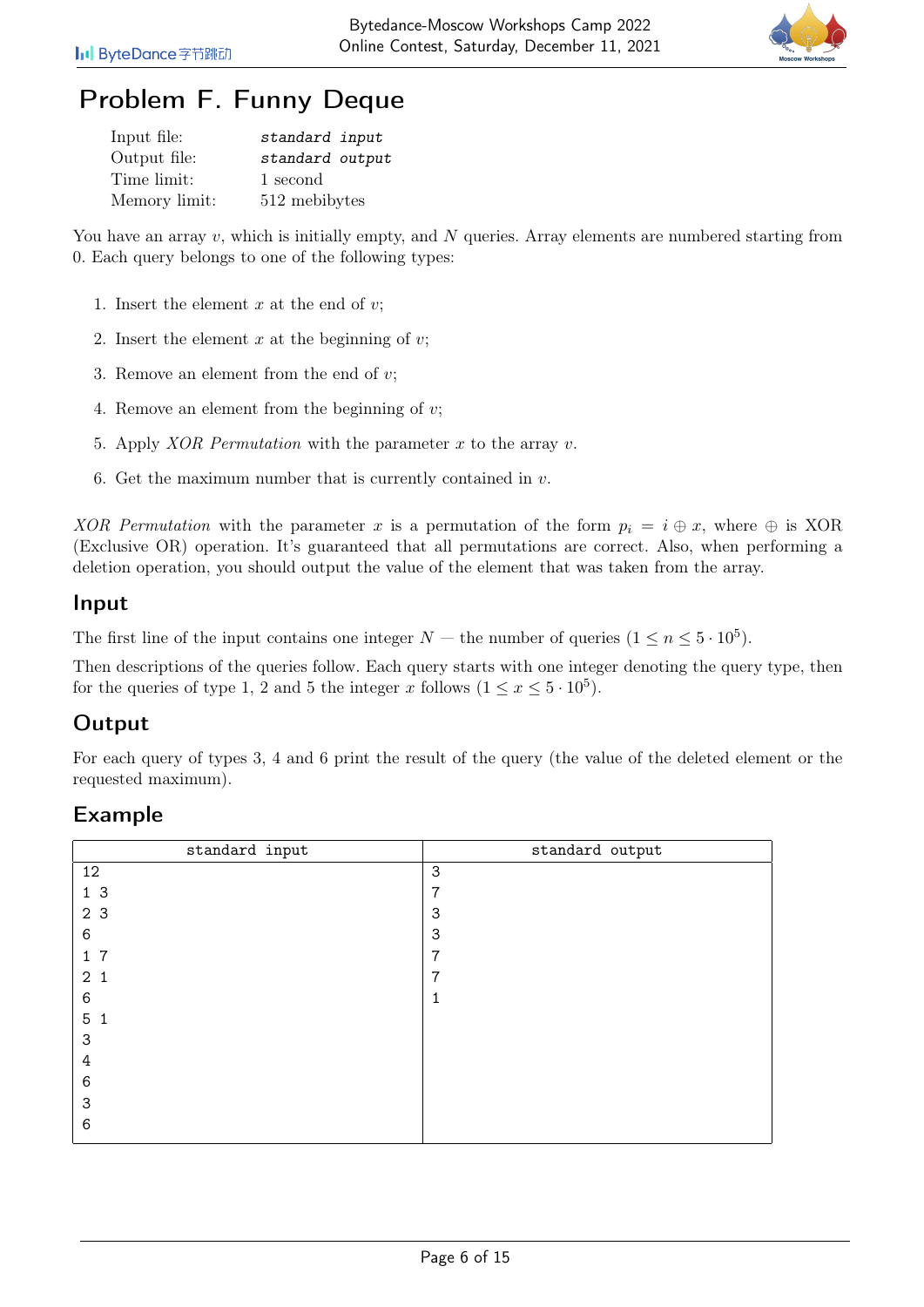

# Problem F. Funny Deque

| Input file:   | standard input  |
|---------------|-----------------|
| Output file:  | standard output |
| Time limit:   | 1 second        |
| Memory limit: | 512 mebibytes   |

You have an array v, which is initially empty, and  $N$  queries. Array elements are numbered starting from 0. Each query belongs to one of the following types:

- 1. Insert the element  $x$  at the end of  $v$ ;
- 2. Insert the element  $x$  at the beginning of  $v$ ;
- 3. Remove an element from the end of  $v$ ;
- 4. Remove an element from the beginning of v;
- 5. Apply *XOR Permutation* with the parameter  $x$  to the array  $v$ .
- 6. Get the maximum number that is currently contained in  $v$ .

XOR Permutation with the parameter x is a permutation of the form  $p_i = i \oplus x$ , where  $\oplus$  is XOR (Exclusive OR) operation. It's guaranteed that all permutations are correct. Also, when performing a deletion operation, you should output the value of the element that was taken from the array.

#### Input

The first line of the input contains one integer  $N$  – the number of queries  $(1 \le n \le 5 \cdot 10^5)$ .

Then descriptions of the queries follow. Each query starts with one integer denoting the query type, then for the queries of type 1, 2 and 5 the integer x follows  $(1 \le x \le 5 \cdot 10^5)$ .

### **Output**

For each query of types 3, 4 and 6 print the result of the query (the value of the deleted element or the requested maximum).

| standard input | standard output |
|----------------|-----------------|
| 12             | 3               |
| 1 <sub>3</sub> | $\overline{7}$  |
| 2 3            | 3               |
| 6              | 3               |
| 17             | 7               |
| $2^{\circ}$    | 7               |
| 6              | 1               |
| 5<br>1         |                 |
| 3              |                 |
| 4              |                 |
| 6              |                 |
| 3              |                 |
| 6              |                 |
|                |                 |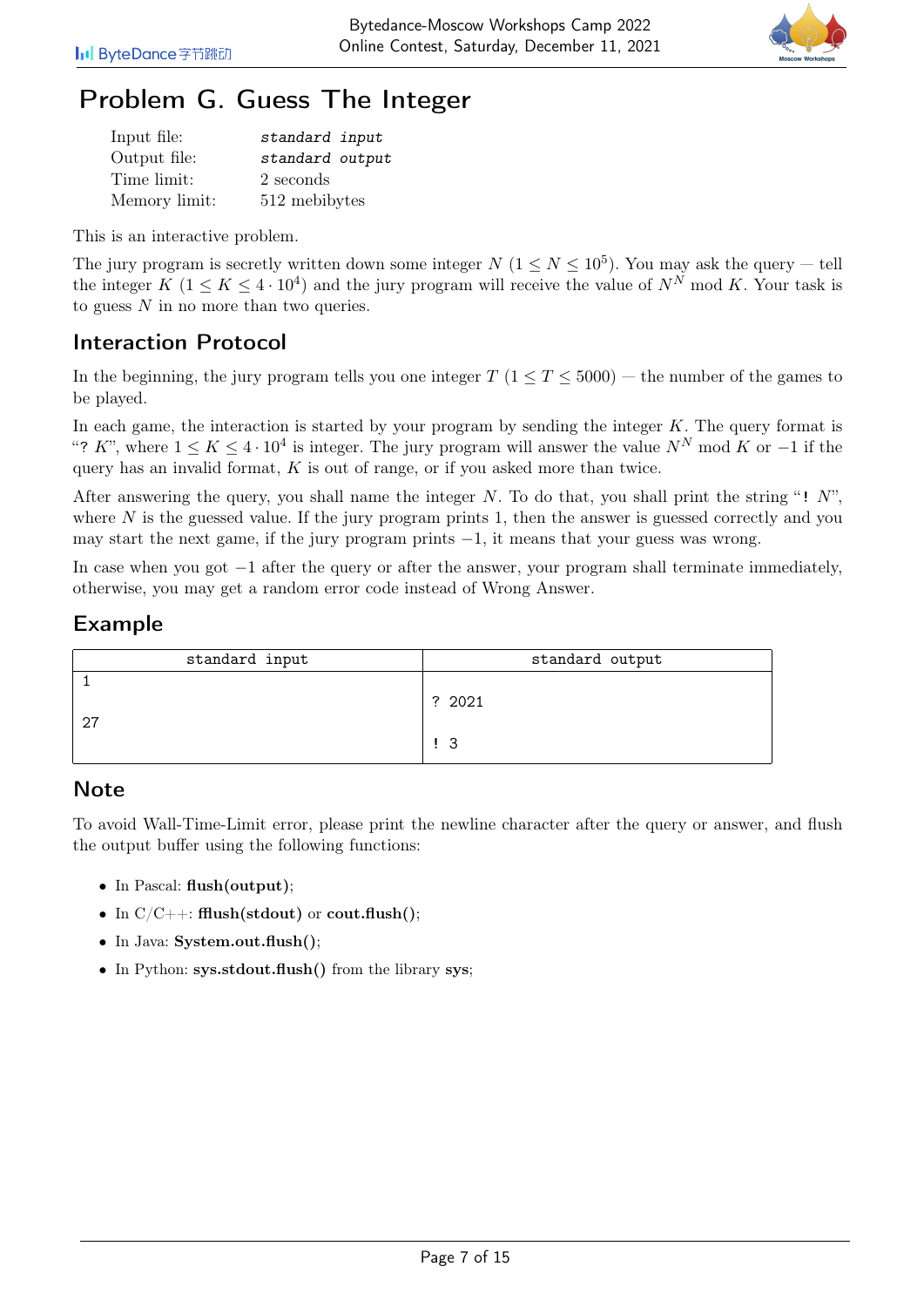

# Problem G. Guess The Integer

| Input file:   | standard input  |
|---------------|-----------------|
| Output file:  | standard output |
| Time limit:   | 2 seconds       |
| Memory limit: | 512 mebibytes   |

This is an interactive problem.

The jury program is secretly written down some integer  $N$   $(1 \le N \le 10^5)$ . You may ask the query – tell the integer  $K$   $(1 \leq K \leq 4 \cdot 10^4)$  and the jury program will receive the value of  $N^N$  mod K. Your task is to guess N in no more than two queries.

## Interaction Protocol

In the beginning, the jury program tells you one integer  $T$  ( $1 \le T \le 5000$ ) — the number of the games to be played.

In each game, the interaction is started by your program by sending the integer  $K$ . The query format is "? K", where  $1 \leq K \leq 4 \cdot 10^4$  is integer. The jury program will answer the value  $N^N$  mod K or  $-1$  if the query has an invalid format,  $K$  is out of range, or if you asked more than twice.

After answering the query, you shall name the integer N. To do that, you shall print the string "!  $N$ ", where  $N$  is the guessed value. If the jury program prints 1, then the answer is guessed correctly and you may start the next game, if the jury program prints −1, it means that your guess was wrong.

In case when you got −1 after the query or after the answer, your program shall terminate immediately, otherwise, you may get a random error code instead of Wrong Answer.

## Example

| standard input | standard output |
|----------------|-----------------|
|                | ? 2021          |
|                | - 3             |

### **Note**

To avoid Wall-Time-Limit error, please print the newline character after the query or answer, and flush the output buffer using the following functions:

- In Pascal: flush(output);
- In  $C/C++$ : fflush(stdout) or cout.flush();
- In Java: System.out.flush();
- In Python: sys.stdout.flush() from the library sys;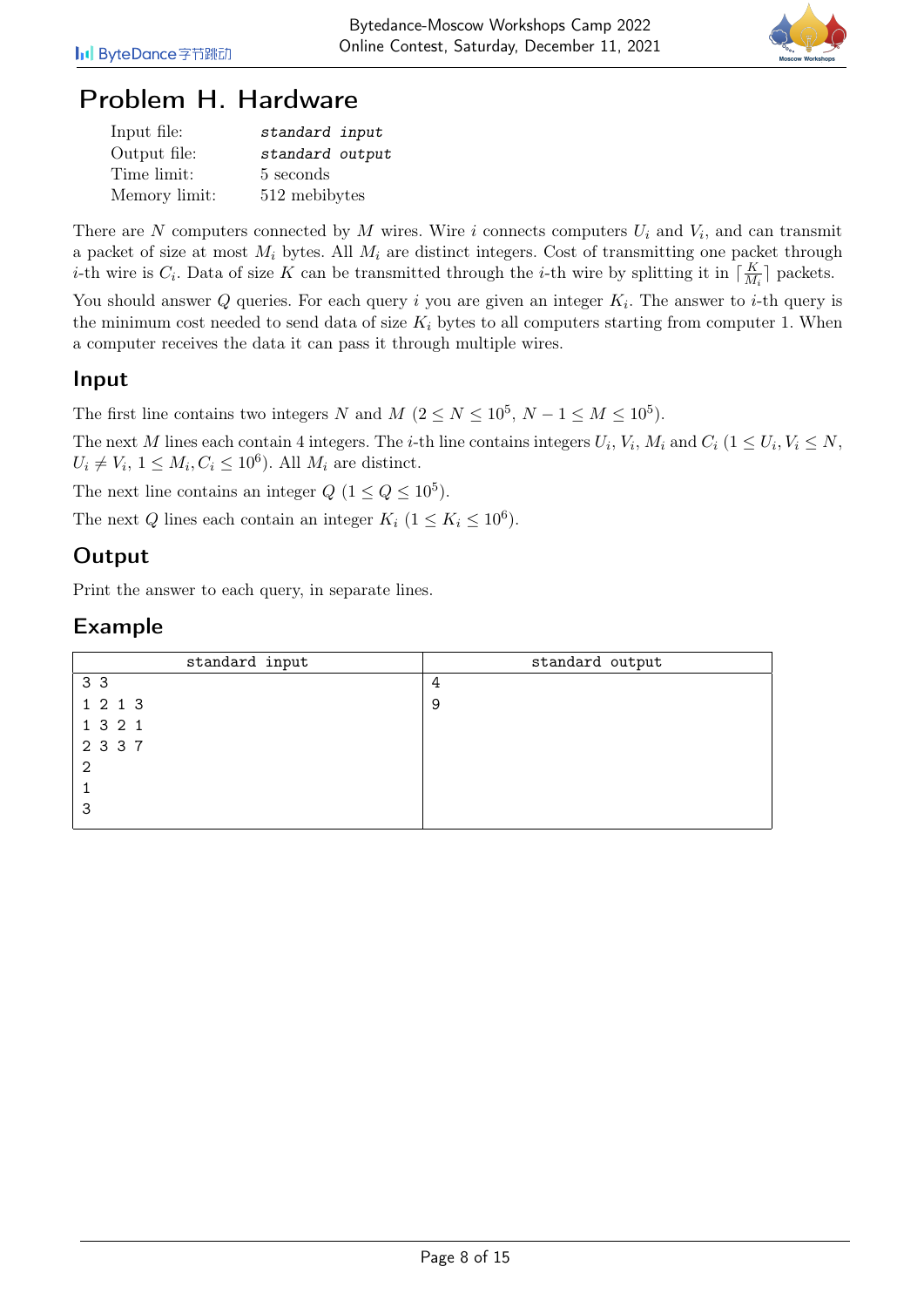

## Problem H. Hardware

| Input file:   | standard input  |
|---------------|-----------------|
| Output file:  | standard output |
| Time limit:   | 5 seconds       |
| Memory limit: | 512 mebibytes   |

There are N computers connected by M wires. Wire i connects computers  $U_i$  and  $V_i$ , and can transmit a packet of size at most  $M_i$  bytes. All  $M_i$  are distinct integers. Cost of transmitting one packet through *i*-th wire is  $C_i$ . Data of size K can be transmitted through the *i*-th wire by splitting it in  $\lceil \frac{K}{M} \rceil$  $\frac{K}{M_i}$  packets.

You should answer Q queries. For each query i you are given an integer  $K_i$ . The answer to *i*-th query is the minimum cost needed to send data of size  $K_i$  bytes to all computers starting from computer 1. When a computer receives the data it can pass it through multiple wires.

### Input

The first line contains two integers N and  $M$   $(2 \le N \le 10^5, N-1 \le M \le 10^5)$ .

The next M lines each contain 4 integers. The *i*-th line contains integers  $U_i$ ,  $V_i$ ,  $M_i$  and  $C_i$   $(1 \leq U_i, V_i \leq N$ ,  $U_i \neq V_i$ ,  $1 \leq M_i, C_i \leq 10^6$ ). All  $M_i$  are distinct.

The next line contains an integer  $Q$   $(1 \leq Q \leq 10^5)$ .

The next Q lines each contain an integer  $K_i$   $(1 \leq K_i \leq 10^6)$ .

### Output

Print the answer to each query, in separate lines.

| standard input | standard output |
|----------------|-----------------|
| 3 <sub>3</sub> | 4               |
| 1 2 1 3        | 9               |
| 1 3 2 1        |                 |
| 2 3 3 7        |                 |
| 2              |                 |
|                |                 |
| 3              |                 |
|                |                 |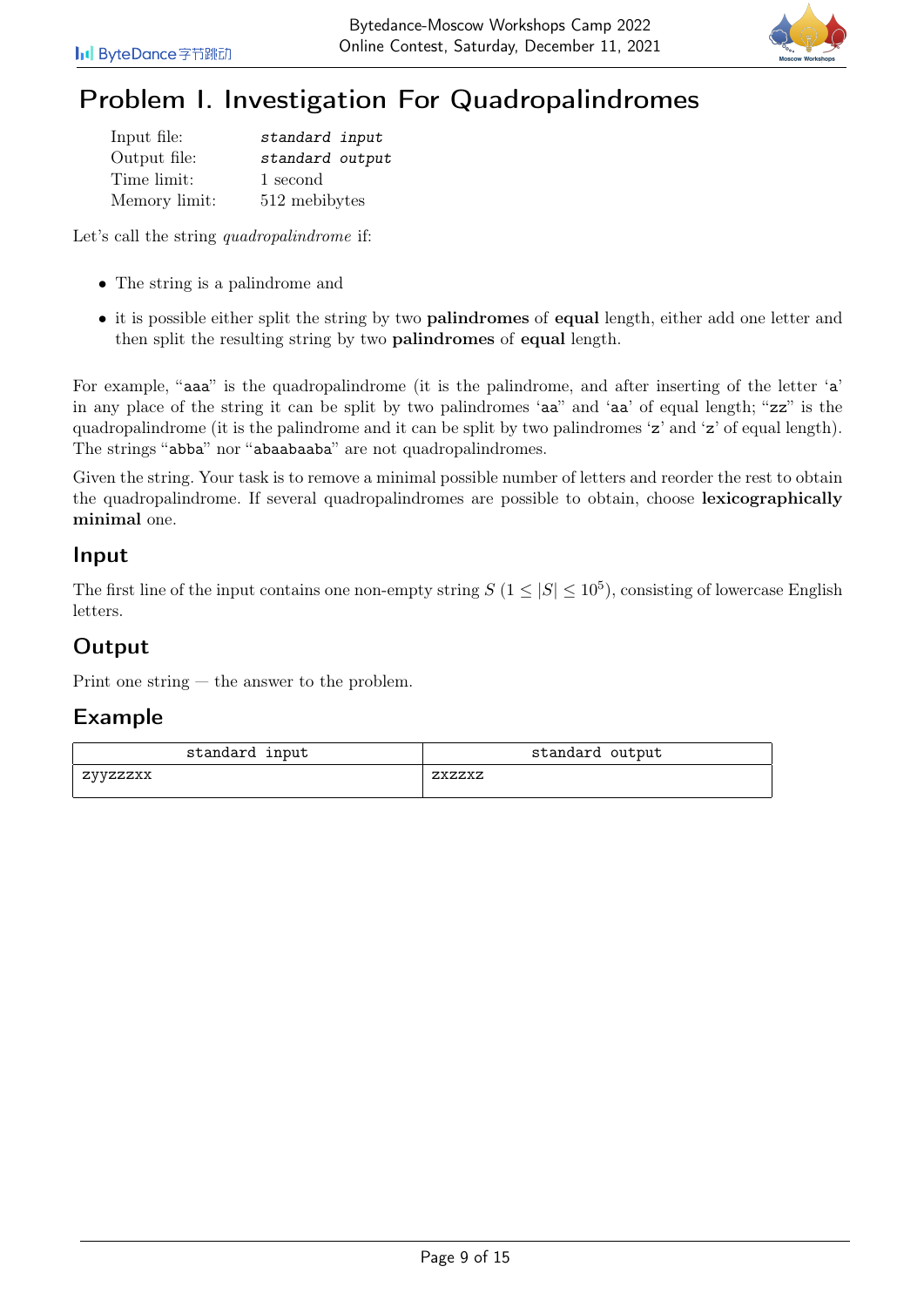

# Problem I. Investigation For Quadropalindromes

| Input file:   | standard input  |
|---------------|-----------------|
| Output file:  | standard output |
| Time limit:   | 1 second        |
| Memory limit: | 512 mebibytes   |

Let's call the string *quadropalindrome* if:

- The string is a palindrome and
- it is possible either split the string by two **palindromes** of **equal** length, either add one letter and then split the resulting string by two palindromes of equal length.

For example, "aaa" is the quadropalindrome (it is the palindrome, and after inserting of the letter 'a' in any place of the string it can be split by two palindromes 'aa" and 'aa' of equal length; "zz" is the quadropalindrome (it is the palindrome and it can be split by two palindromes 'z' and 'z' of equal length). The strings "abba" nor "abaabaaba" are not quadropalindromes.

Given the string. Your task is to remove a minimal possible number of letters and reorder the rest to obtain the quadropalindrome. If several quadropalindromes are possible to obtain, choose lexicographically minimal one.

#### Input

The first line of the input contains one non-empty string  $S(1 \leq |S| \leq 10^5)$ , consisting of lowercase English letters.

## **Output**

Print one string — the answer to the problem.

| standard input | standard output |
|----------------|-----------------|
| zyyzzzxx       | ZXZZXZ          |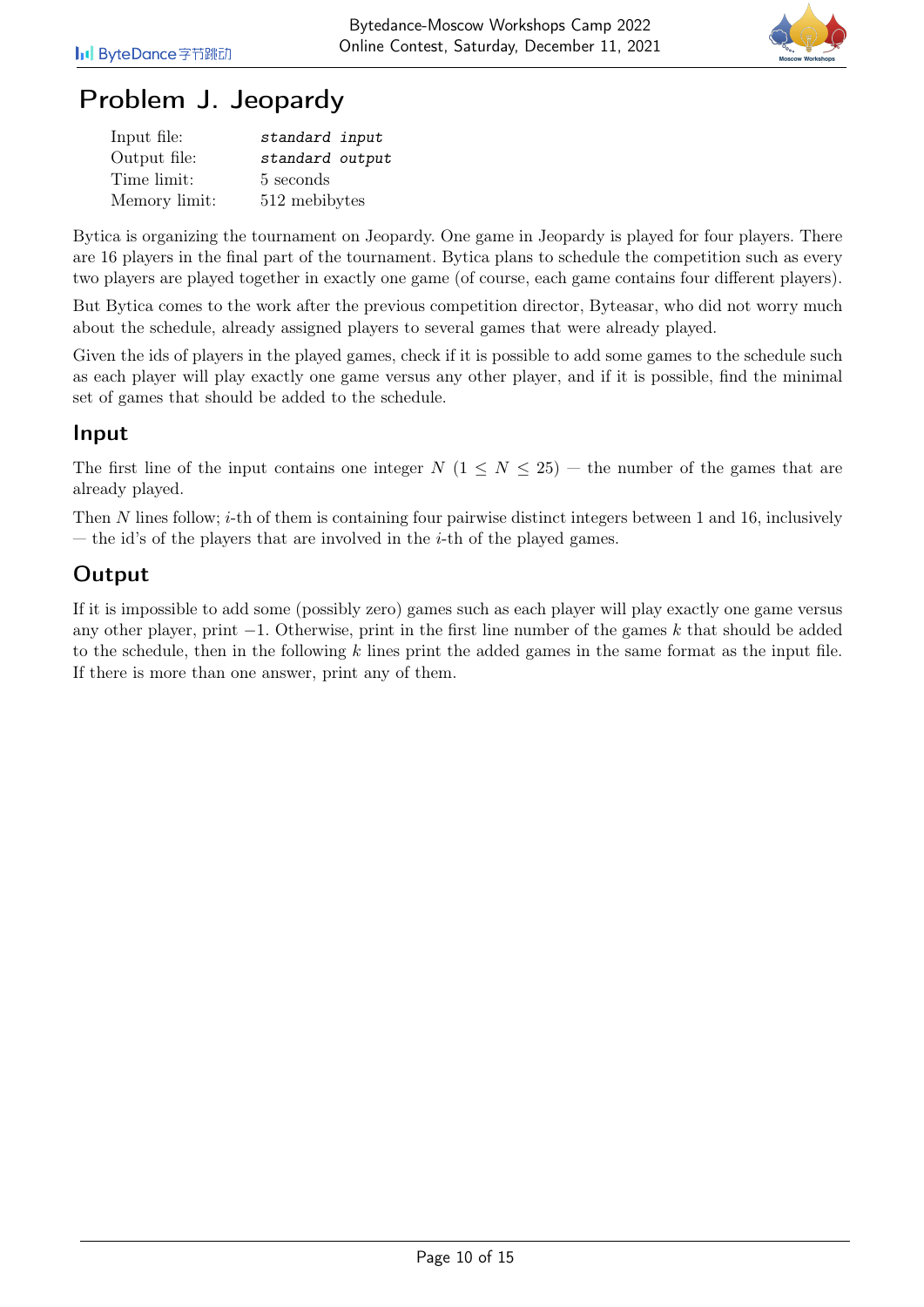

# Problem J. Jeopardy

| Input file:   | standard input  |
|---------------|-----------------|
| Output file:  | standard output |
| Time limit:   | 5 seconds       |
| Memory limit: | 512 mebibytes   |

Bytica is organizing the tournament on Jeopardy. One game in Jeopardy is played for four players. There are 16 players in the final part of the tournament. Bytica plans to schedule the competition such as every two players are played together in exactly one game (of course, each game contains four different players).

But Bytica comes to the work after the previous competition director, Byteasar, who did not worry much about the schedule, already assigned players to several games that were already played.

Given the ids of players in the played games, check if it is possible to add some games to the schedule such as each player will play exactly one game versus any other player, and if it is possible, find the minimal set of games that should be added to the schedule.

#### Input

The first line of the input contains one integer  $N$  (1  $\leq N \leq 25$ ) — the number of the games that are already played.

Then N lines follow;  $i$ -th of them is containing four pairwise distinct integers between 1 and 16, inclusively — the id's of the players that are involved in the  $i$ -th of the played games.

## **Output**

If it is impossible to add some (possibly zero) games such as each player will play exactly one game versus any other player, print  $-1$ . Otherwise, print in the first line number of the games k that should be added to the schedule, then in the following k lines print the added games in the same format as the input file. If there is more than one answer, print any of them.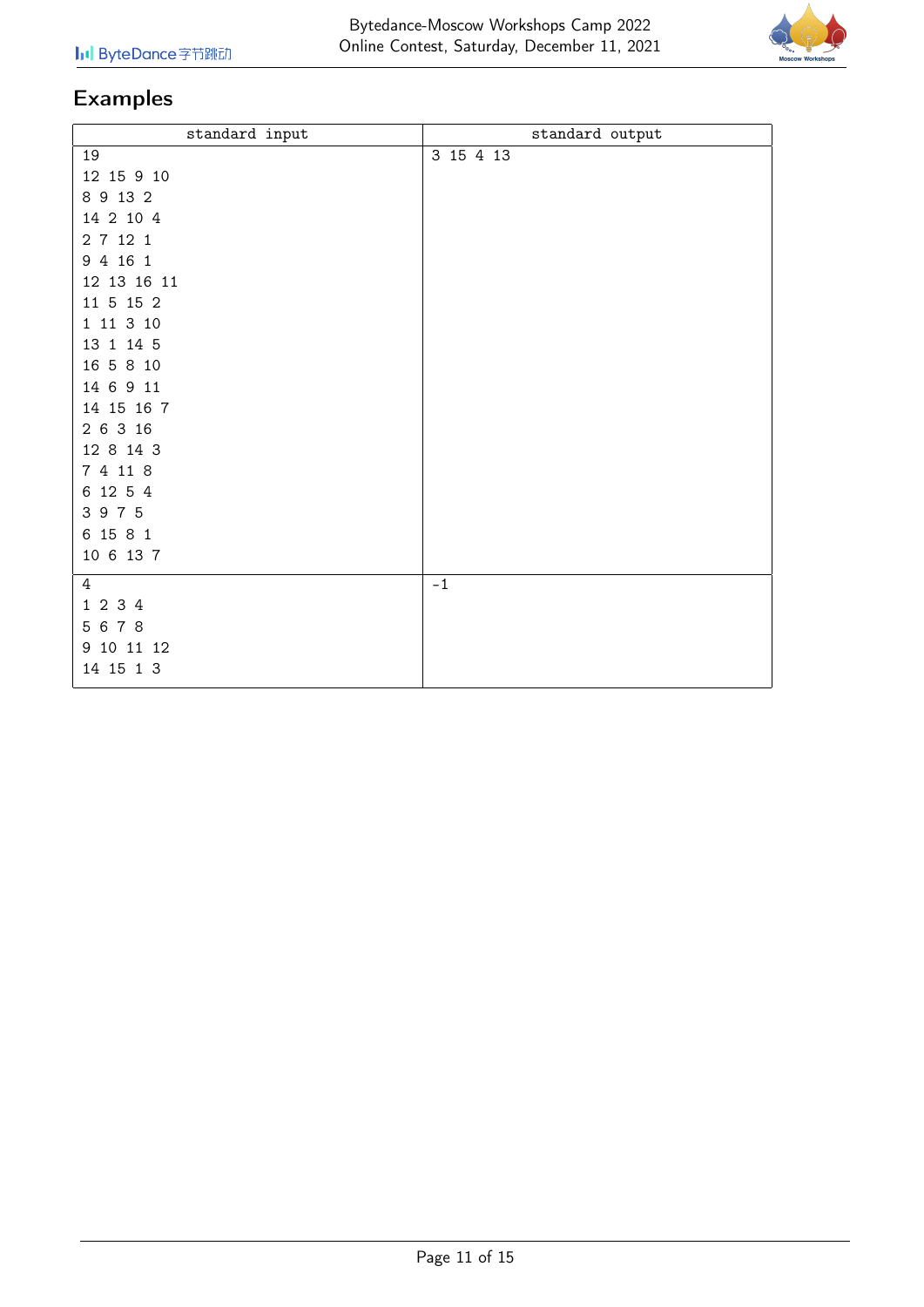

| standard input | standard output |
|----------------|-----------------|
| 19             | 3 15 4 13       |
| 12 15 9 10     |                 |
| 8 9 13 2       |                 |
| 14 2 10 4      |                 |
| 2 7 12 1       |                 |
| 9 4 16 1       |                 |
| 12 13 16 11    |                 |
| 11 5 15 2      |                 |
| 1 11 3 10      |                 |
| 13 1 14 5      |                 |
| 16 5 8 10      |                 |
| 14 6 9 11      |                 |
| 14 15 16 7     |                 |
| 2 6 3 16       |                 |
| 12 8 14 3      |                 |
| 7 4 11 8       |                 |
| 6 12 5 4       |                 |
| 3 9 7 5        |                 |
| 6 15 8 1       |                 |
| 10 6 13 7      |                 |
| 4              | $-1$            |
| 1 2 3 4        |                 |
| 5 6 7 8        |                 |
| 9 10 11 12     |                 |
| 14 15 1 3      |                 |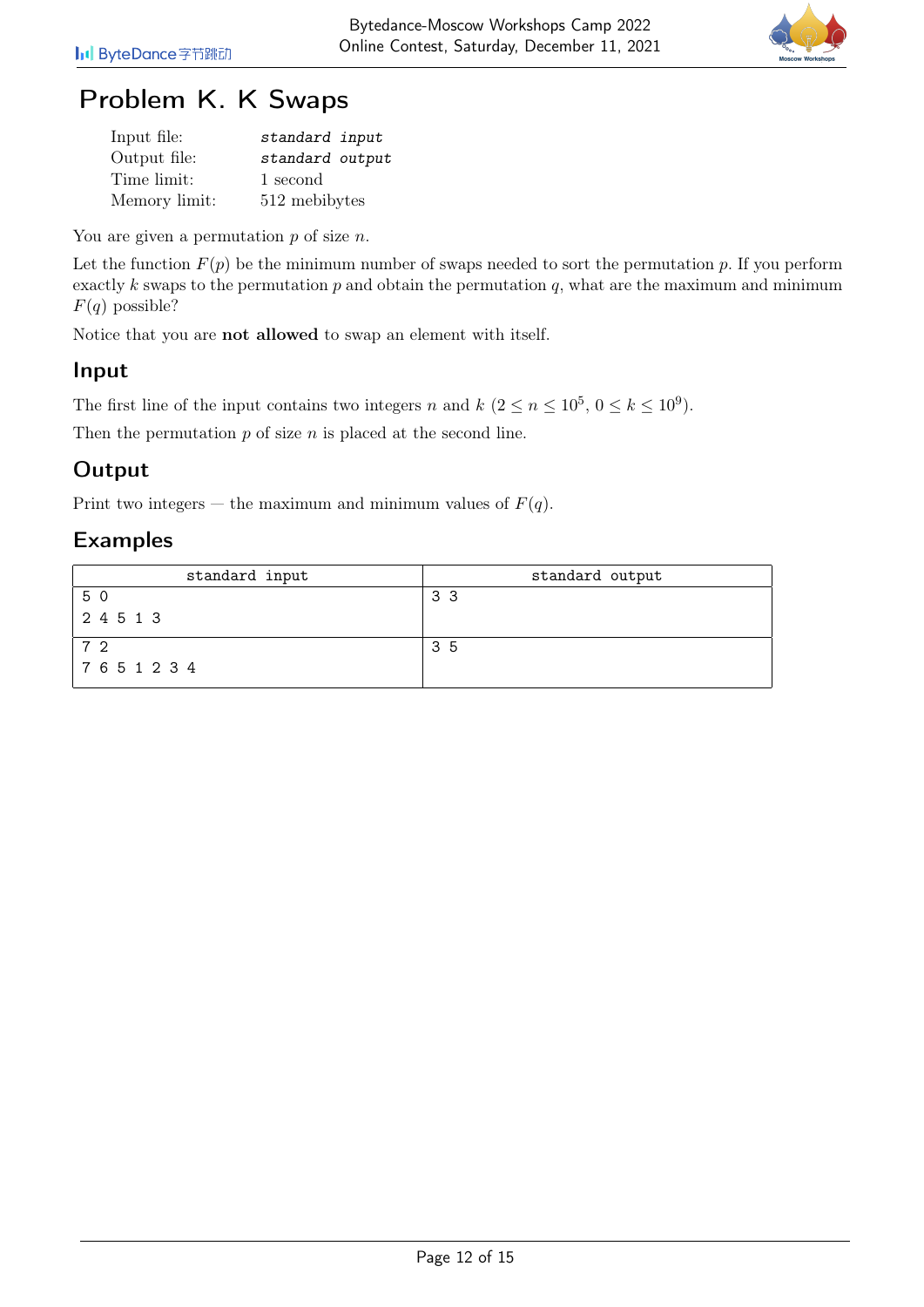

# Problem K. K Swaps

| Input file:   | standard input  |
|---------------|-----------------|
| Output file:  | standard output |
| Time limit:   | 1 second        |
| Memory limit: | 512 mebibytes   |

You are given a permutation  $p$  of size  $n$ .

Let the function  $F(p)$  be the minimum number of swaps needed to sort the permutation p. If you perform exactly k swaps to the permutation  $p$  and obtain the permutation  $q$ , what are the maximum and minimum  $F(q)$  possible?

Notice that you are not allowed to swap an element with itself.

#### Input

The first line of the input contains two integers n and  $k$   $(2 \le n \le 10^5, 0 \le k \le 10^9)$ .

Then the permutation  $p$  of size  $n$  is placed at the second line.

## **Output**

Print two integers — the maximum and minimum values of  $F(q)$ .

| standard input | standard output |
|----------------|-----------------|
| 5 0            | 33              |
| 2 4 5 1 3      |                 |
| ר 7            | 35              |
| 7651234        |                 |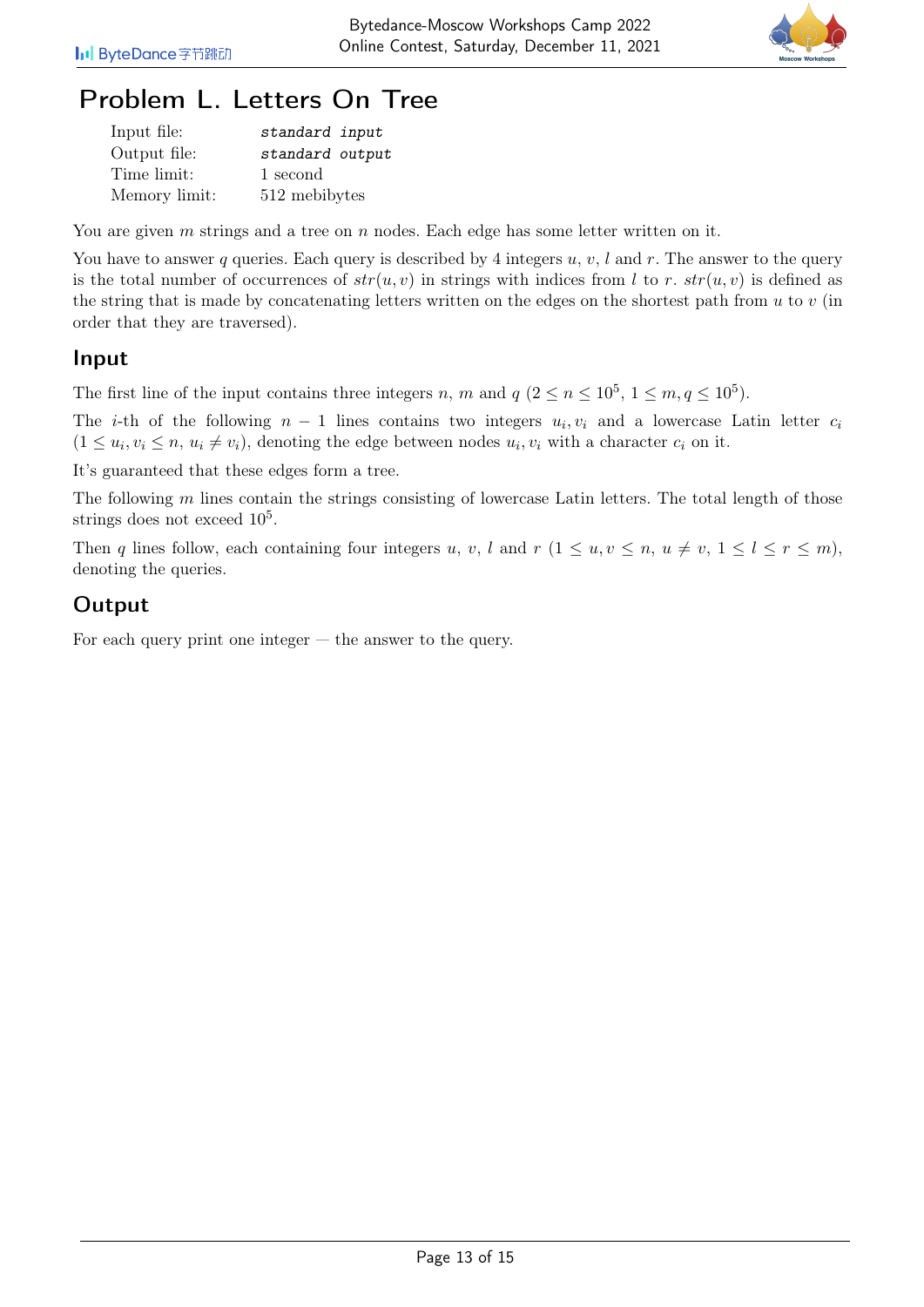

# Problem L. Letters On Tree

| Input file:   | standard input  |
|---------------|-----------------|
| Output file:  | standard output |
| Time limit:   | 1 second        |
| Memory limit: | 512 mebibytes   |

You are given  $m$  strings and a tree on  $n$  nodes. Each edge has some letter written on it.

You have to answer q queries. Each query is described by 4 integers  $u, v, l$  and r. The answer to the query is the total number of occurrences of  $str(u, v)$  in strings with indices from l to r.  $str(u, v)$  is defined as the string that is made by concatenating letters written on the edges on the shortest path from  $u$  to  $v$  (in order that they are traversed).

#### Input

The first line of the input contains three integers n, m and  $q$   $(2 \leq n \leq 10^5, 1 \leq m, q \leq 10^5)$ .

The *i*-th of the following  $n-1$  lines contains two integers  $u_i, v_i$  and a lowercase Latin letter  $c_i$  $(1 \le u_i, v_i \le n, u_i \ne v_i)$ , denoting the edge between nodes  $u_i, v_i$  with a character  $c_i$  on it.

It's guaranteed that these edges form a tree.

The following  $m$  lines contain the strings consisting of lowercase Latin letters. The total length of those strings does not exceed  $10^5$ .

Then q lines follow, each containing four integers u, v, l and  $r$   $(1 \le u, v \le n, u \ne v, 1 \le l \le r \le m)$ , denoting the queries.

### **Output**

For each query print one integer  $-$  the answer to the query.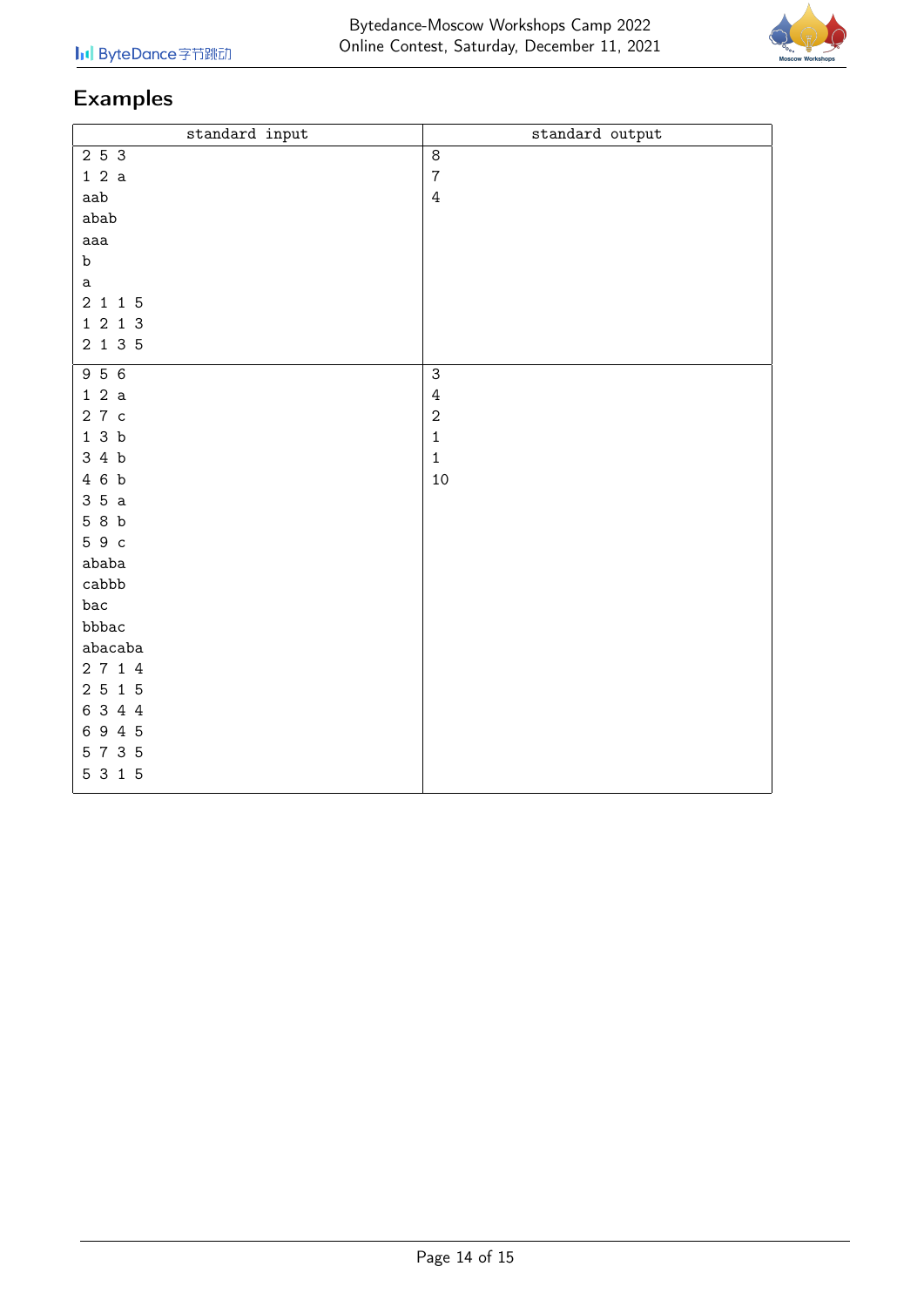

| standard input | standard output |
|----------------|-----------------|
| 2 5 3          | $\,8\,$         |
| 12a            | $\overline{7}$  |
| aab            | $\overline{4}$  |
| abab           |                 |
| aaa            |                 |
| b              |                 |
| a              |                 |
| 2 1 1 5        |                 |
| 1 2 1 3        |                 |
| 2 1 3 5        |                 |
| 956            | $\mathsf 3$     |
| 12a            | $\sqrt{4}$      |
| 27с            | $\sqrt{2}$      |
| 13b            | $\mathbf 1$     |
| 34b            | $\mathbf 1$     |
| 4 6 b          | 10              |
| 35a            |                 |
| 58b            |                 |
| 59с            |                 |
| ababa          |                 |
| cabbb          |                 |
| bac            |                 |
| bbbac          |                 |
| abacaba        |                 |
| 2 7 1 4        |                 |
| 2 5 1 5        |                 |
| 6 3 4 4        |                 |
| 6945           |                 |
| 5 7 3 5        |                 |
| 5 3 1 5        |                 |